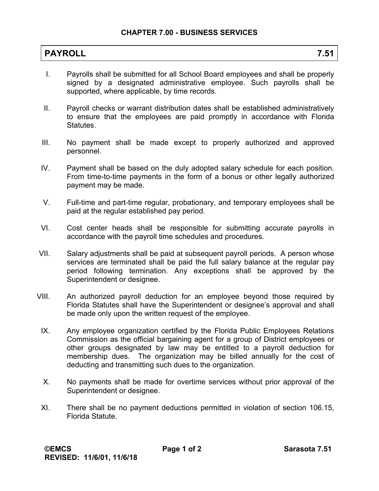| <b>PAYROLL</b> | ີ.ວ⊺ |
|----------------|------|
|----------------|------|

- I. Payrolls shall be submitted for all School Board employees and shall be properly signed by a designated administrative employee. Such payrolls shall be supported, where applicable, by time records.
- II. Payroll checks or warrant distribution dates shall be established administratively to ensure that the employees are paid promptly in accordance with Florida Statutes.
- III. No payment shall be made except to properly authorized and approved personnel.
- IV. Payment shall be based on the duly adopted salary schedule for each position. From time-to-time payments in the form of a bonus or other legally authorized payment may be made.
- V. Full-time and part-time regular, probationary, and temporary employees shall be paid at the regular established pay period.
- VI. Cost center heads shall be responsible for submitting accurate payrolls in accordance with the payroll time schedules and procedures.
- VII. Salary adjustments shall be paid at subsequent payroll periods. A person whose services are terminated shall be paid the full salary balance at the regular pay period following termination. Any exceptions shall be approved by the Superintendent or designee.
- VIII. An authorized payroll deduction for an employee beyond those required by Florida Statutes shall have the Superintendent or designee's approval and shall be made only upon the written request of the employee.
- IX. Any employee organization certified by the Florida Public Employees Relations Commission as the official bargaining agent for a group of District employees or other groups designated by law may be entitled to a payroll deduction for membership dues. The organization may be billed annually for the cost of deducting and transmitting such dues to the organization.
- X. No payments shall be made for overtime services without prior approval of the Superintendent or designee.
- XI. There shall be no payment deductions permitted in violation of section 106.15, Florida Statute.